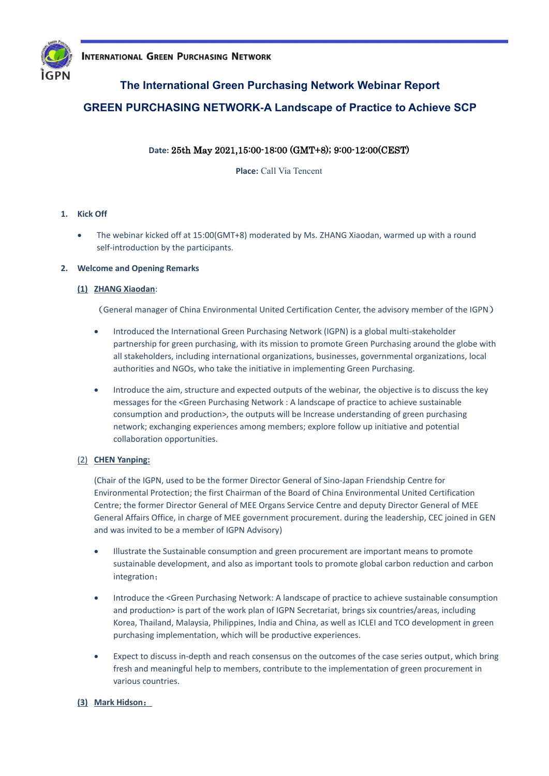

## **The International Green Purchasing Network Webinar Report**

## **GREEN PURCHASING NETWORK-A Landscape of Practice to Achieve SCP**

## **Date:** 25th May 2021,15:00-18:00 (GMT+8); 9:00-12:00(CEST)

**Place:** Call Via Tencent

## **1. Kick Off**

• The webinar kicked off at 15:00(GMT+8) moderated by Ms. ZHANG Xiaodan, warmed up with a round self-introduction by the participants.

#### **2. Welcome and Opening Remarks**

#### **(1) ZHANG Xiaodan**:

(General manager of China Environmental United Certification Center, the advisory member of the IGPN)

- Introduced the International Green Purchasing Network (IGPN) is a global multi-stakeholder partnership for green purchasing, with its mission to promote Green Purchasing around the globe with all stakeholders, including international organizations, businesses, governmental organizations, local authorities and NGOs, who take the initiative in implementing Green Purchasing.
- Introduce the aim, structure and expected outputs of the webinar, the objective is to discuss the key messages for the <Green Purchasing Network : A landscape of practice to achieve sustainable consumption and production>, the outputs will be Increase understanding of green purchasing network; exchanging experiences among members; explore follow up initiative and potential collaboration opportunities.

#### (2) **CHEN Yanping:**

(Chair of the IGPN, used to be the former Director General of Sino-Japan Friendship Centre for Environmental Protection; the first Chairman of the Board of China Environmental United Certification Centre; the former Director General of MEE Organs Service Centre and deputy Director General of MEE General Affairs Office, in charge of MEE government procurement. during the leadership, CEC joined in GEN and was invited to be a member of IGPN Advisory)

- Illustrate the Sustainable consumption and green procurement are important means to promote sustainable development, and also as important tools to promote global carbon reduction and carbon integration;
- Introduce the <Green Purchasing Network: A landscape of practice to achieve sustainable consumption and production> is part of the work plan of IGPN Secretariat, brings six countries/areas, including Korea, Thailand, Malaysia, Philippines, India and China, as well as ICLEI and TCO development in green purchasing implementation, which will be productive experiences.
- Expect to discuss in-depth and reach consensus on the outcomes of the case series output, which bring fresh and meaningful help to members, contribute to the implementation of green procurement in various countries.

## **(3) Mark Hidson**: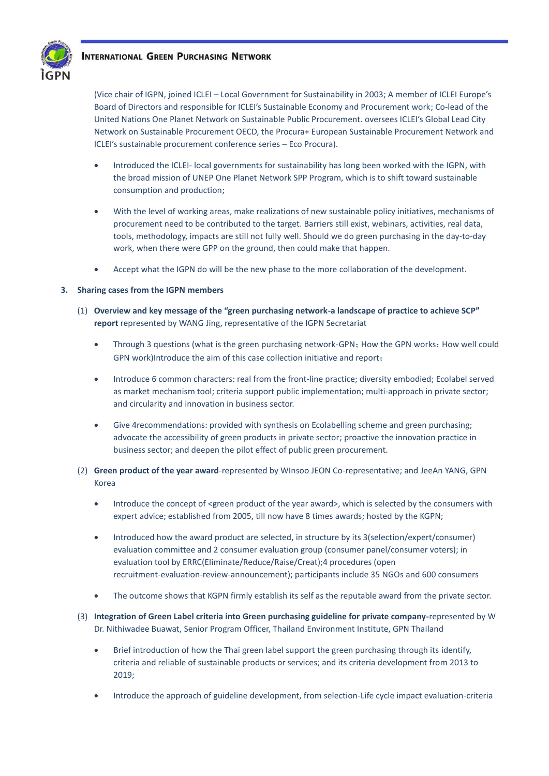

(Vice chair of IGPN, joined ICLEI – Local Government for Sustainability in 2003; A member of ICLEI Europe's Board of Directors and responsible for ICLEI's Sustainable Economy and Procurement work; Co-lead of the United Nations One Planet Network on Sustainable Public Procurement. oversees ICLEI's Global Lead City Network on Sustainable Procurement OECD, the Procura+ European Sustainable Procurement Network and ICLEI's sustainable procurement conference series – Eco Procura).

- Introduced the ICLEI- local governments for sustainability has long been worked with the IGPN, with the broad mission of UNEP One Planet Network SPP Program, which is to shift toward sustainable consumption and production;
- With the level of working areas, make realizations of new sustainable policy initiatives, mechanisms of procurement need to be contributed to the target. Barriers still exist, webinars, activities, real data, tools, methodology, impacts are still not fully well. Should we do green purchasing in the day-to-day work, when there were GPP on the ground, then could make that happen.
- Accept what the IGPN do will be the new phase to the more collaboration of the development.

## **3. Sharing cases from the IGPN members**

- (1) **Overview and key message of the "green purchasing network-a landscape of practice to achieve SCP" report** represented by WANG Jing, representative of the IGPN Secretariat
	- Through 3 questions (what is the green purchasing network-GPN; How the GPN works; How well could GPN work)Introduce the aim of this case collection initiative and report;
	- Introduce 6 common characters: real from the front-line practice; diversity embodied; Ecolabel served as market mechanism tool; criteria support public implementation; multi-approach in private sector; and circularity and innovation in business sector.
	- Give 4recommendations: provided with synthesis on Ecolabelling scheme and green purchasing; advocate the accessibility of green products in private sector; proactive the innovation practice in business sector; and deepen the pilot effect of public green procurement.
- (2) **Green product of the year award**-represented by WInsoo JEON Co-representative; and JeeAn YANG, GPN Korea
	- Introduce the concept of <green product of the year award>, which is selected by the consumers with expert advice; established from 2005, till now have 8 times awards; hosted by the KGPN;
	- Introduced how the award product are selected, in structure by its 3(selection/expert/consumer) evaluation committee and 2 consumer evaluation group (consumer panel/consumer voters); in evaluation tool by ERRC(Eliminate/Reduce/Raise/Creat);4 procedures (open recruitment-evaluation-review-announcement); participants include 35 NGOs and 600 consumers
	- The outcome shows that KGPN firmly establish its self as the reputable award from the private sector.
- (3) **Integration of Green Label criteria into Green purchasing guideline for private company-**represented by W Dr. Nithiwadee Buawat, Senior Program Officer, Thailand Environment Institute, GPN Thailand
	- Brief introduction of how the Thai green label support the green purchasing through its identify, criteria and reliable of sustainable products or services; and its criteria development from 2013 to 2019;
	- Introduce the approach of guideline development, from selection-Life cycle impact evaluation-criteria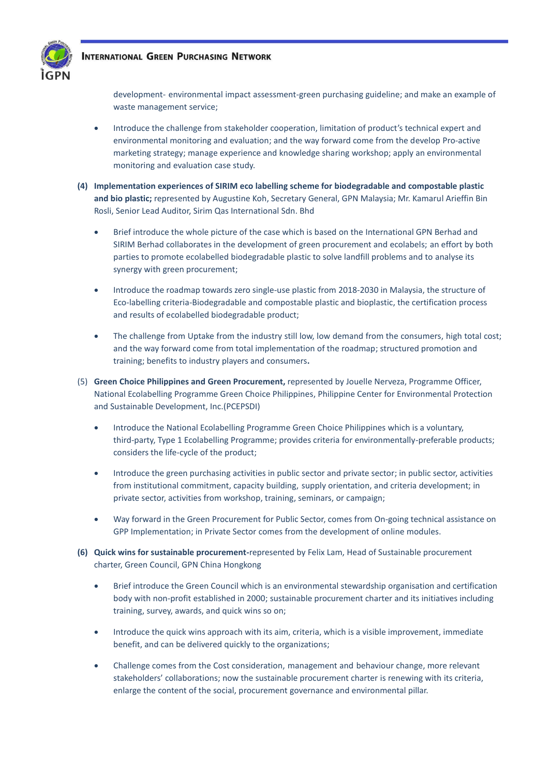

development- environmental impact assessment-green purchasing guideline; and make an example of waste management service;

- Introduce the challenge from stakeholder cooperation, limitation of product's technical expert and environmental monitoring and evaluation; and the way forward come from the develop Pro-active marketing strategy; manage experience and knowledge sharing workshop; apply an environmental monitoring and evaluation case study.
- **(4) Implementation experiences of SIRIM eco labelling scheme for biodegradable and compostable plastic and bio plastic;** represented by Augustine Koh, Secretary General, GPN Malaysia; Mr. Kamarul Arieffin Bin Rosli, Senior Lead Auditor, Sirim Qas International Sdn. Bhd
	- Brief introduce the whole picture of the case which is based on the International GPN Berhad and SIRIM Berhad collaborates in the development of green procurement and ecolabels; an effort by both parties to promote ecolabelled biodegradable plastic to solve landfill problems and to analyse its synergy with green procurement;
	- Introduce the roadmap towards zero single-use plastic from 2018-2030 in Malaysia, the structure of Eco-labelling criteria-Biodegradable and compostable plastic and bioplastic, the certification process and results of ecolabelled biodegradable product;
	- The challenge from Uptake from the industry still low, low demand from the consumers, high total cost; and the way forward come from total implementation of the roadmap; structured promotion and training; benefits to industry players and consumers**.**
- (5) **Green Choice Philippines and Green Procurement,** represented by Jouelle Nerveza, Programme Officer, National Ecolabelling Programme Green Choice Philippines, Philippine Center for Environmental Protection and Sustainable Development, Inc.(PCEPSDI)
	- Introduce the National Ecolabelling Programme Green Choice Philippines which is a voluntary, third-party, Type 1 Ecolabelling Programme; provides criteria for environmentally-preferable products; considers the life-cycle of the product;
	- Introduce the green purchasing activities in public sector and private sector; in public sector, activities from institutional commitment, capacity building, supply orientation, and criteria development; in private sector, activities from workshop, training, seminars, or campaign;
	- Way forward in the Green Procurement for Public Sector, comes from On-going technical assistance on GPP Implementation; in Private Sector comes from the development of online modules.
- **(6) Quick wins for sustainable procurement-**represented by Felix Lam, Head of Sustainable procurement charter, Green Council, GPN China Hongkong
	- Brief introduce the Green Council which is an environmental stewardship organisation and certification body with non-profit established in 2000; sustainable procurement charter and its initiatives including training, survey, awards, and quick wins so on;
	- Introduce the quick wins approach with its aim, criteria, which is a visible improvement, immediate benefit, and can be delivered quickly to the organizations;
	- Challenge comes from the Cost consideration, management and behaviour change, more relevant stakeholders' collaborations; now the sustainable procurement charter is renewing with its criteria, enlarge the content of the social, procurement governance and environmental pillar.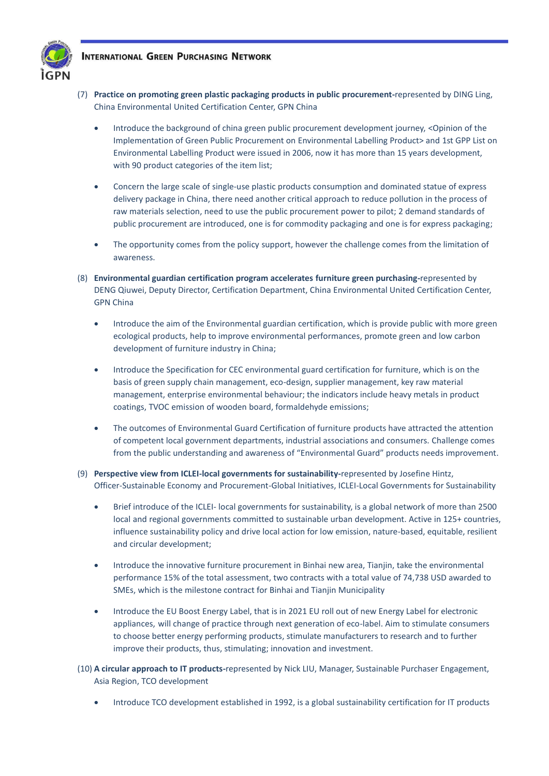

- (7) **Practice on promoting green plastic packaging products in public procurement-**represented by DING Ling, China Environmental United Certification Center, GPN China
	- Introduce the background of china green public procurement development journey, <Opinion of the Implementation of Green Public Procurement on Environmental Labelling Product> and 1st GPP List on Environmental Labelling Product were issued in 2006, now it has more than 15 years development, with 90 product categories of the item list;
	- Concern the large scale of single-use plastic products consumption and dominated statue of express delivery package in China, there need another critical approach to reduce pollution in the process of raw materials selection, need to use the public procurement power to pilot; 2 demand standards of public procurement are introduced, one is for commodity packaging and one is for express packaging;
	- The opportunity comes from the policy support, however the challenge comes from the limitation of awareness.
- (8) **Environmental guardian certification program accelerates furniture green purchasing-**represented by DENG Qiuwei, Deputy Director, Certification Department, China Environmental United Certification Center, GPN China
	- Introduce the aim of the Environmental guardian certification, which is provide public with more green ecological products, help to improve environmental performances, promote green and low carbon development of furniture industry in China;
	- Introduce the Specification for CEC environmental guard certification for furniture, which is on the basis of green supply chain management, eco-design, supplier management, key raw material management, enterprise environmental behaviour; the indicators include heavy metals in product coatings, TVOC emission of wooden board, formaldehyde emissions;
	- The outcomes of Environmental Guard Certification of furniture products have attracted the attention of competent local government departments, industrial associations and consumers. Challenge comes from the public understanding and awareness of "Environmental Guard" products needs improvement.
- (9) **Perspective view from ICLEI-local governments for sustainability-**represented by Josefine Hintz, Officer-Sustainable Economy and Procurement-Global Initiatives, ICLEI-Local Governments for Sustainability
	- Brief introduce of the ICLEI- local governments for sustainability, is a global network of more than 2500 local and regional governments committed to sustainable urban development. Active in 125+ countries, influence sustainability policy and drive local action for low emission, nature-based, equitable, resilient and circular development;
	- Introduce the innovative furniture procurement in Binhai new area, Tianjin, take the environmental performance 15% of the total assessment, two contracts with a total value of 74,738 USD awarded to SMEs, which is the milestone contract for Binhai and Tianjin Municipality
	- Introduce the EU Boost Energy Label, that is in 2021 EU roll out of new Energy Label for electronic appliances, will change of practice through next generation of eco-label. Aim to stimulate consumers to choose better energy performing products, stimulate manufacturers to research and to further improve their products, thus, stimulating; innovation and investment.
- (10) **A circular approach to IT products-**represented by Nick LIU, Manager, Sustainable Purchaser Engagement, Asia Region, TCO development
	- Introduce TCO development established in 1992, is a global sustainability certification for IT products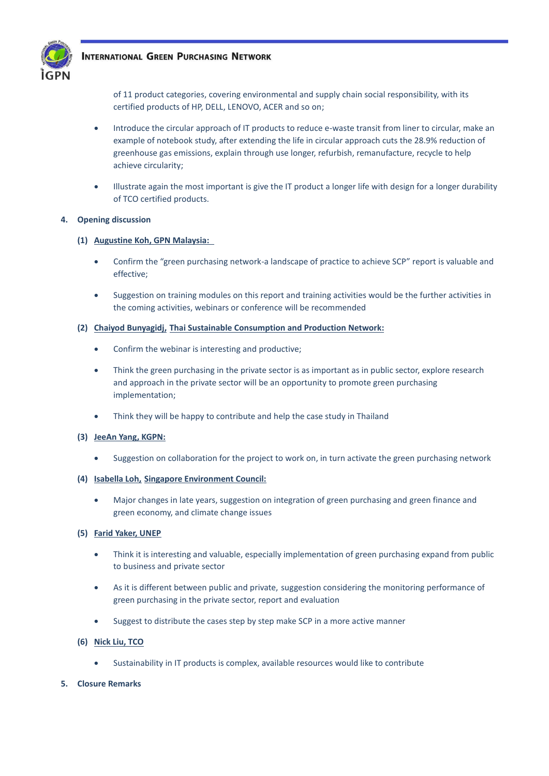

of 11 product categories, covering environmental and supply chain social responsibility, with its certified products of HP, DELL, LENOVO, ACER and so on;

- Introduce the circular approach of IT products to reduce e-waste transit from liner to circular, make an example of notebook study, after extending the life in circular approach cuts the 28.9% reduction of greenhouse gas emissions, explain through use longer, refurbish, remanufacture, recycle to help achieve circularity;
- Illustrate again the most important is give the IT product a longer life with design for a longer durability of TCO certified products.

## **4. Opening discussion**

## **(1) Augustine Koh, GPN Malaysia:**

- Confirm the "green purchasing network-a landscape of practice to achieve SCP" report is valuable and effective;
- Suggestion on training modules on this report and training activities would be the further activities in the coming activities, webinars or conference will be recommended

## **(2) Chaiyod Bunyagidj, Thai Sustainable Consumption and Production Network:**

- Confirm the webinar is interesting and productive;
- Think the green purchasing in the private sector is as important as in public sector, explore research and approach in the private sector will be an opportunity to promote green purchasing implementation;
- Think they will be happy to contribute and help the case study in Thailand
- **(3) JeeAn Yang, KGPN:**
	- Suggestion on collaboration for the project to work on, in turn activate the green purchasing network

## **(4) Isabella Loh, Singapore Environment Council:**

• Major changes in late years, suggestion on integration of green purchasing and green finance and green economy, and climate change issues

## **(5) Farid Yaker, UNEP**

- Think it is interesting and valuable, especially implementation of green purchasing expand from public to business and private sector
- As it is different between public and private, suggestion considering the monitoring performance of green purchasing in the private sector, report and evaluation
- Suggest to distribute the cases step by step make SCP in a more active manner

## **(6) Nick Liu, TCO**

• Sustainability in IT products is complex, available resources would like to contribute

## **5. Closure Remarks**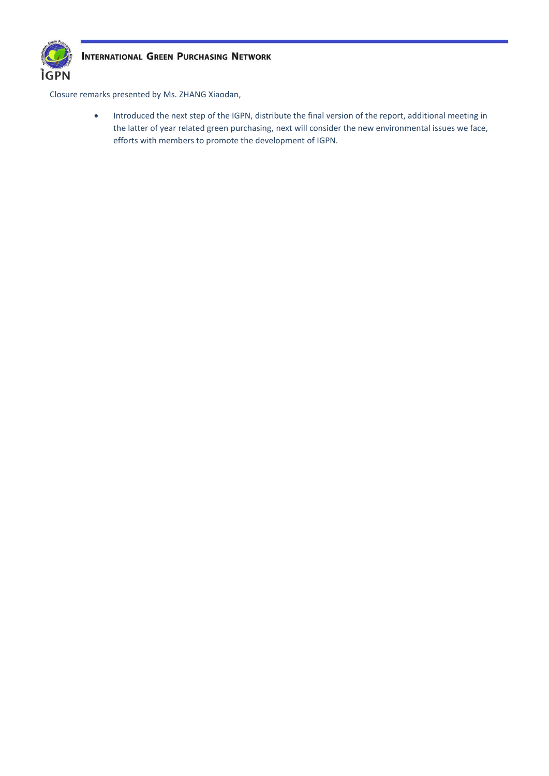

Closure remarks presented by Ms. ZHANG Xiaodan,

• Introduced the next step of the IGPN, distribute the final version of the report, additional meeting in the latter of year related green purchasing, next will consider the new environmental issues we face, efforts with members to promote the development of IGPN.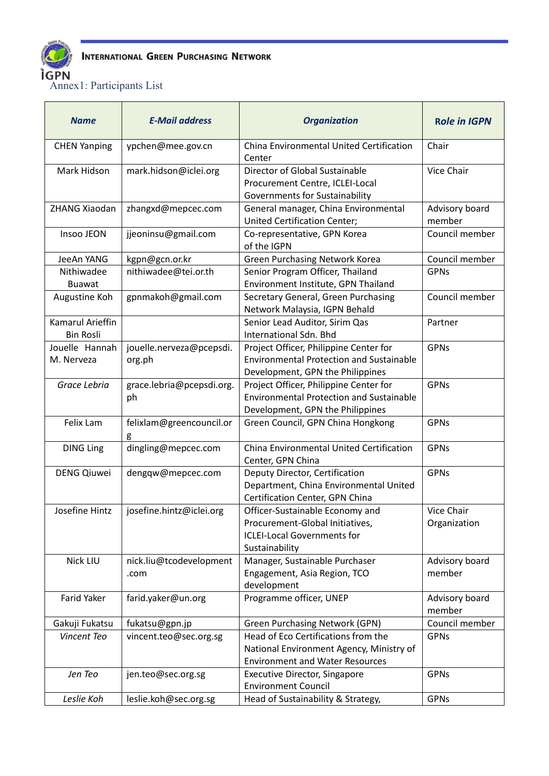

Annex1: Participants List

| China Environmental United Certification<br>Chair<br><b>CHEN Yanping</b><br>ypchen@mee.gov.cn<br>Center<br>Director of Global Sustainable<br><b>Vice Chair</b><br>Mark Hidson<br>mark.hidson@iclei.org<br>Procurement Centre, ICLEI-Local<br><b>Governments for Sustainability</b><br>ZHANG Xiaodan<br>General manager, China Environmental<br>Advisory board<br>zhangxd@mepcec.com<br><b>United Certification Center;</b><br>member<br>jjeoninsu@gmail.com<br>Council member<br>Insoo JEON<br>Co-representative, GPN Korea<br>of the IGPN<br>Council member<br><b>Green Purchasing Network Korea</b><br>JeeAn YANG<br>kgpn@gcn.or.kr<br>Nithiwadee<br>nithiwadee@tei.or.th<br>Senior Program Officer, Thailand<br><b>GPNs</b><br>Environment Institute, GPN Thailand<br><b>Buawat</b><br>Council member<br>gpnmakoh@gmail.com<br>Secretary General, Green Purchasing<br>Augustine Koh<br>Network Malaysia, IGPN Behald<br>Kamarul Arieffin<br>Senior Lead Auditor, Sirim Qas<br>Partner<br><b>International Sdn. Bhd</b><br><b>Bin Rosli</b><br>Jouelle Hannah<br>jouelle.nerveza@pcepsdi.<br>Project Officer, Philippine Center for<br><b>GPNs</b><br><b>Environmental Protection and Sustainable</b><br>M. Nerveza<br>org.ph<br>Development, GPN the Philippines<br>Project Officer, Philippine Center for<br><b>GPNs</b><br>Grace Lebria<br>grace.lebria@pcepsdi.org.<br><b>Environmental Protection and Sustainable</b><br>ph<br>Development, GPN the Philippines<br>Felix Lam<br>felixlam@greencouncil.or<br>Green Council, GPN China Hongkong<br><b>GPNs</b><br>g<br>dingling@mepcec.com<br>China Environmental United Certification<br><b>GPNs</b><br><b>DING Ling</b><br>Center, GPN China<br><b>GPNs</b><br><b>DENG Qiuwei</b><br>dengqw@mepcec.com<br>Deputy Director, Certification<br>Department, China Environmental United<br>Certification Center, GPN China<br>Josefine Hintz<br>josefine.hintz@iclei.org<br>Vice Chair<br>Officer-Sustainable Economy and<br>Procurement-Global Initiatives,<br>Organization<br><b>ICLEI-Local Governments for</b><br>Sustainability<br>Nick LIU<br>Manager, Sustainable Purchaser<br>nick.liu@tcodevelopment<br>Advisory board<br>Engagement, Asia Region, TCO<br>member<br>.com<br>development<br>Programme officer, UNEP<br>Farid Yaker<br>farid.yaker@un.org<br>Advisory board<br>member<br>Council member<br>Gakuji Fukatsu<br>fukatsu@gpn.jp<br><b>Green Purchasing Network (GPN)</b><br>Head of Eco Certifications from the<br>Vincent Teo<br><b>GPNs</b><br>vincent.teo@sec.org.sg<br>National Environment Agency, Ministry of<br><b>Environment and Water Resources</b><br><b>GPNs</b><br>Jen Teo<br><b>Executive Director, Singapore</b><br>jen.teo@sec.org.sg<br><b>Environment Council</b> | <b>Name</b> | <b>E-Mail address</b> | <b>Organization</b>                | <b>Role in IGPN</b> |
|----------------------------------------------------------------------------------------------------------------------------------------------------------------------------------------------------------------------------------------------------------------------------------------------------------------------------------------------------------------------------------------------------------------------------------------------------------------------------------------------------------------------------------------------------------------------------------------------------------------------------------------------------------------------------------------------------------------------------------------------------------------------------------------------------------------------------------------------------------------------------------------------------------------------------------------------------------------------------------------------------------------------------------------------------------------------------------------------------------------------------------------------------------------------------------------------------------------------------------------------------------------------------------------------------------------------------------------------------------------------------------------------------------------------------------------------------------------------------------------------------------------------------------------------------------------------------------------------------------------------------------------------------------------------------------------------------------------------------------------------------------------------------------------------------------------------------------------------------------------------------------------------------------------------------------------------------------------------------------------------------------------------------------------------------------------------------------------------------------------------------------------------------------------------------------------------------------------------------------------------------------------------------------------------------------------------------------------------------------------------------------------------------------------------------------------------------------------------------------------------------------------------------------------------------------------------------------------------------------------------------------------------------------------------------------------------------------------------------------------------------------|-------------|-----------------------|------------------------------------|---------------------|
|                                                                                                                                                                                                                                                                                                                                                                                                                                                                                                                                                                                                                                                                                                                                                                                                                                                                                                                                                                                                                                                                                                                                                                                                                                                                                                                                                                                                                                                                                                                                                                                                                                                                                                                                                                                                                                                                                                                                                                                                                                                                                                                                                                                                                                                                                                                                                                                                                                                                                                                                                                                                                                                                                                                                                          |             |                       |                                    |                     |
|                                                                                                                                                                                                                                                                                                                                                                                                                                                                                                                                                                                                                                                                                                                                                                                                                                                                                                                                                                                                                                                                                                                                                                                                                                                                                                                                                                                                                                                                                                                                                                                                                                                                                                                                                                                                                                                                                                                                                                                                                                                                                                                                                                                                                                                                                                                                                                                                                                                                                                                                                                                                                                                                                                                                                          |             |                       |                                    |                     |
|                                                                                                                                                                                                                                                                                                                                                                                                                                                                                                                                                                                                                                                                                                                                                                                                                                                                                                                                                                                                                                                                                                                                                                                                                                                                                                                                                                                                                                                                                                                                                                                                                                                                                                                                                                                                                                                                                                                                                                                                                                                                                                                                                                                                                                                                                                                                                                                                                                                                                                                                                                                                                                                                                                                                                          |             |                       |                                    |                     |
|                                                                                                                                                                                                                                                                                                                                                                                                                                                                                                                                                                                                                                                                                                                                                                                                                                                                                                                                                                                                                                                                                                                                                                                                                                                                                                                                                                                                                                                                                                                                                                                                                                                                                                                                                                                                                                                                                                                                                                                                                                                                                                                                                                                                                                                                                                                                                                                                                                                                                                                                                                                                                                                                                                                                                          |             |                       |                                    |                     |
|                                                                                                                                                                                                                                                                                                                                                                                                                                                                                                                                                                                                                                                                                                                                                                                                                                                                                                                                                                                                                                                                                                                                                                                                                                                                                                                                                                                                                                                                                                                                                                                                                                                                                                                                                                                                                                                                                                                                                                                                                                                                                                                                                                                                                                                                                                                                                                                                                                                                                                                                                                                                                                                                                                                                                          |             |                       |                                    |                     |
|                                                                                                                                                                                                                                                                                                                                                                                                                                                                                                                                                                                                                                                                                                                                                                                                                                                                                                                                                                                                                                                                                                                                                                                                                                                                                                                                                                                                                                                                                                                                                                                                                                                                                                                                                                                                                                                                                                                                                                                                                                                                                                                                                                                                                                                                                                                                                                                                                                                                                                                                                                                                                                                                                                                                                          |             |                       |                                    |                     |
|                                                                                                                                                                                                                                                                                                                                                                                                                                                                                                                                                                                                                                                                                                                                                                                                                                                                                                                                                                                                                                                                                                                                                                                                                                                                                                                                                                                                                                                                                                                                                                                                                                                                                                                                                                                                                                                                                                                                                                                                                                                                                                                                                                                                                                                                                                                                                                                                                                                                                                                                                                                                                                                                                                                                                          |             |                       |                                    |                     |
|                                                                                                                                                                                                                                                                                                                                                                                                                                                                                                                                                                                                                                                                                                                                                                                                                                                                                                                                                                                                                                                                                                                                                                                                                                                                                                                                                                                                                                                                                                                                                                                                                                                                                                                                                                                                                                                                                                                                                                                                                                                                                                                                                                                                                                                                                                                                                                                                                                                                                                                                                                                                                                                                                                                                                          |             |                       |                                    |                     |
|                                                                                                                                                                                                                                                                                                                                                                                                                                                                                                                                                                                                                                                                                                                                                                                                                                                                                                                                                                                                                                                                                                                                                                                                                                                                                                                                                                                                                                                                                                                                                                                                                                                                                                                                                                                                                                                                                                                                                                                                                                                                                                                                                                                                                                                                                                                                                                                                                                                                                                                                                                                                                                                                                                                                                          |             |                       |                                    |                     |
|                                                                                                                                                                                                                                                                                                                                                                                                                                                                                                                                                                                                                                                                                                                                                                                                                                                                                                                                                                                                                                                                                                                                                                                                                                                                                                                                                                                                                                                                                                                                                                                                                                                                                                                                                                                                                                                                                                                                                                                                                                                                                                                                                                                                                                                                                                                                                                                                                                                                                                                                                                                                                                                                                                                                                          |             |                       |                                    |                     |
|                                                                                                                                                                                                                                                                                                                                                                                                                                                                                                                                                                                                                                                                                                                                                                                                                                                                                                                                                                                                                                                                                                                                                                                                                                                                                                                                                                                                                                                                                                                                                                                                                                                                                                                                                                                                                                                                                                                                                                                                                                                                                                                                                                                                                                                                                                                                                                                                                                                                                                                                                                                                                                                                                                                                                          |             |                       |                                    |                     |
|                                                                                                                                                                                                                                                                                                                                                                                                                                                                                                                                                                                                                                                                                                                                                                                                                                                                                                                                                                                                                                                                                                                                                                                                                                                                                                                                                                                                                                                                                                                                                                                                                                                                                                                                                                                                                                                                                                                                                                                                                                                                                                                                                                                                                                                                                                                                                                                                                                                                                                                                                                                                                                                                                                                                                          |             |                       |                                    |                     |
|                                                                                                                                                                                                                                                                                                                                                                                                                                                                                                                                                                                                                                                                                                                                                                                                                                                                                                                                                                                                                                                                                                                                                                                                                                                                                                                                                                                                                                                                                                                                                                                                                                                                                                                                                                                                                                                                                                                                                                                                                                                                                                                                                                                                                                                                                                                                                                                                                                                                                                                                                                                                                                                                                                                                                          |             |                       |                                    |                     |
|                                                                                                                                                                                                                                                                                                                                                                                                                                                                                                                                                                                                                                                                                                                                                                                                                                                                                                                                                                                                                                                                                                                                                                                                                                                                                                                                                                                                                                                                                                                                                                                                                                                                                                                                                                                                                                                                                                                                                                                                                                                                                                                                                                                                                                                                                                                                                                                                                                                                                                                                                                                                                                                                                                                                                          |             |                       |                                    |                     |
|                                                                                                                                                                                                                                                                                                                                                                                                                                                                                                                                                                                                                                                                                                                                                                                                                                                                                                                                                                                                                                                                                                                                                                                                                                                                                                                                                                                                                                                                                                                                                                                                                                                                                                                                                                                                                                                                                                                                                                                                                                                                                                                                                                                                                                                                                                                                                                                                                                                                                                                                                                                                                                                                                                                                                          |             |                       |                                    |                     |
|                                                                                                                                                                                                                                                                                                                                                                                                                                                                                                                                                                                                                                                                                                                                                                                                                                                                                                                                                                                                                                                                                                                                                                                                                                                                                                                                                                                                                                                                                                                                                                                                                                                                                                                                                                                                                                                                                                                                                                                                                                                                                                                                                                                                                                                                                                                                                                                                                                                                                                                                                                                                                                                                                                                                                          |             |                       |                                    |                     |
|                                                                                                                                                                                                                                                                                                                                                                                                                                                                                                                                                                                                                                                                                                                                                                                                                                                                                                                                                                                                                                                                                                                                                                                                                                                                                                                                                                                                                                                                                                                                                                                                                                                                                                                                                                                                                                                                                                                                                                                                                                                                                                                                                                                                                                                                                                                                                                                                                                                                                                                                                                                                                                                                                                                                                          |             |                       |                                    |                     |
|                                                                                                                                                                                                                                                                                                                                                                                                                                                                                                                                                                                                                                                                                                                                                                                                                                                                                                                                                                                                                                                                                                                                                                                                                                                                                                                                                                                                                                                                                                                                                                                                                                                                                                                                                                                                                                                                                                                                                                                                                                                                                                                                                                                                                                                                                                                                                                                                                                                                                                                                                                                                                                                                                                                                                          |             |                       |                                    |                     |
|                                                                                                                                                                                                                                                                                                                                                                                                                                                                                                                                                                                                                                                                                                                                                                                                                                                                                                                                                                                                                                                                                                                                                                                                                                                                                                                                                                                                                                                                                                                                                                                                                                                                                                                                                                                                                                                                                                                                                                                                                                                                                                                                                                                                                                                                                                                                                                                                                                                                                                                                                                                                                                                                                                                                                          |             |                       |                                    |                     |
|                                                                                                                                                                                                                                                                                                                                                                                                                                                                                                                                                                                                                                                                                                                                                                                                                                                                                                                                                                                                                                                                                                                                                                                                                                                                                                                                                                                                                                                                                                                                                                                                                                                                                                                                                                                                                                                                                                                                                                                                                                                                                                                                                                                                                                                                                                                                                                                                                                                                                                                                                                                                                                                                                                                                                          |             |                       |                                    |                     |
|                                                                                                                                                                                                                                                                                                                                                                                                                                                                                                                                                                                                                                                                                                                                                                                                                                                                                                                                                                                                                                                                                                                                                                                                                                                                                                                                                                                                                                                                                                                                                                                                                                                                                                                                                                                                                                                                                                                                                                                                                                                                                                                                                                                                                                                                                                                                                                                                                                                                                                                                                                                                                                                                                                                                                          |             |                       |                                    |                     |
|                                                                                                                                                                                                                                                                                                                                                                                                                                                                                                                                                                                                                                                                                                                                                                                                                                                                                                                                                                                                                                                                                                                                                                                                                                                                                                                                                                                                                                                                                                                                                                                                                                                                                                                                                                                                                                                                                                                                                                                                                                                                                                                                                                                                                                                                                                                                                                                                                                                                                                                                                                                                                                                                                                                                                          |             |                       |                                    |                     |
|                                                                                                                                                                                                                                                                                                                                                                                                                                                                                                                                                                                                                                                                                                                                                                                                                                                                                                                                                                                                                                                                                                                                                                                                                                                                                                                                                                                                                                                                                                                                                                                                                                                                                                                                                                                                                                                                                                                                                                                                                                                                                                                                                                                                                                                                                                                                                                                                                                                                                                                                                                                                                                                                                                                                                          |             |                       |                                    |                     |
|                                                                                                                                                                                                                                                                                                                                                                                                                                                                                                                                                                                                                                                                                                                                                                                                                                                                                                                                                                                                                                                                                                                                                                                                                                                                                                                                                                                                                                                                                                                                                                                                                                                                                                                                                                                                                                                                                                                                                                                                                                                                                                                                                                                                                                                                                                                                                                                                                                                                                                                                                                                                                                                                                                                                                          |             |                       |                                    |                     |
|                                                                                                                                                                                                                                                                                                                                                                                                                                                                                                                                                                                                                                                                                                                                                                                                                                                                                                                                                                                                                                                                                                                                                                                                                                                                                                                                                                                                                                                                                                                                                                                                                                                                                                                                                                                                                                                                                                                                                                                                                                                                                                                                                                                                                                                                                                                                                                                                                                                                                                                                                                                                                                                                                                                                                          |             |                       |                                    |                     |
|                                                                                                                                                                                                                                                                                                                                                                                                                                                                                                                                                                                                                                                                                                                                                                                                                                                                                                                                                                                                                                                                                                                                                                                                                                                                                                                                                                                                                                                                                                                                                                                                                                                                                                                                                                                                                                                                                                                                                                                                                                                                                                                                                                                                                                                                                                                                                                                                                                                                                                                                                                                                                                                                                                                                                          |             |                       |                                    |                     |
|                                                                                                                                                                                                                                                                                                                                                                                                                                                                                                                                                                                                                                                                                                                                                                                                                                                                                                                                                                                                                                                                                                                                                                                                                                                                                                                                                                                                                                                                                                                                                                                                                                                                                                                                                                                                                                                                                                                                                                                                                                                                                                                                                                                                                                                                                                                                                                                                                                                                                                                                                                                                                                                                                                                                                          |             |                       |                                    |                     |
|                                                                                                                                                                                                                                                                                                                                                                                                                                                                                                                                                                                                                                                                                                                                                                                                                                                                                                                                                                                                                                                                                                                                                                                                                                                                                                                                                                                                                                                                                                                                                                                                                                                                                                                                                                                                                                                                                                                                                                                                                                                                                                                                                                                                                                                                                                                                                                                                                                                                                                                                                                                                                                                                                                                                                          |             |                       |                                    |                     |
|                                                                                                                                                                                                                                                                                                                                                                                                                                                                                                                                                                                                                                                                                                                                                                                                                                                                                                                                                                                                                                                                                                                                                                                                                                                                                                                                                                                                                                                                                                                                                                                                                                                                                                                                                                                                                                                                                                                                                                                                                                                                                                                                                                                                                                                                                                                                                                                                                                                                                                                                                                                                                                                                                                                                                          |             |                       |                                    |                     |
|                                                                                                                                                                                                                                                                                                                                                                                                                                                                                                                                                                                                                                                                                                                                                                                                                                                                                                                                                                                                                                                                                                                                                                                                                                                                                                                                                                                                                                                                                                                                                                                                                                                                                                                                                                                                                                                                                                                                                                                                                                                                                                                                                                                                                                                                                                                                                                                                                                                                                                                                                                                                                                                                                                                                                          |             |                       |                                    |                     |
|                                                                                                                                                                                                                                                                                                                                                                                                                                                                                                                                                                                                                                                                                                                                                                                                                                                                                                                                                                                                                                                                                                                                                                                                                                                                                                                                                                                                                                                                                                                                                                                                                                                                                                                                                                                                                                                                                                                                                                                                                                                                                                                                                                                                                                                                                                                                                                                                                                                                                                                                                                                                                                                                                                                                                          |             |                       |                                    |                     |
|                                                                                                                                                                                                                                                                                                                                                                                                                                                                                                                                                                                                                                                                                                                                                                                                                                                                                                                                                                                                                                                                                                                                                                                                                                                                                                                                                                                                                                                                                                                                                                                                                                                                                                                                                                                                                                                                                                                                                                                                                                                                                                                                                                                                                                                                                                                                                                                                                                                                                                                                                                                                                                                                                                                                                          |             |                       |                                    |                     |
|                                                                                                                                                                                                                                                                                                                                                                                                                                                                                                                                                                                                                                                                                                                                                                                                                                                                                                                                                                                                                                                                                                                                                                                                                                                                                                                                                                                                                                                                                                                                                                                                                                                                                                                                                                                                                                                                                                                                                                                                                                                                                                                                                                                                                                                                                                                                                                                                                                                                                                                                                                                                                                                                                                                                                          |             |                       |                                    |                     |
|                                                                                                                                                                                                                                                                                                                                                                                                                                                                                                                                                                                                                                                                                                                                                                                                                                                                                                                                                                                                                                                                                                                                                                                                                                                                                                                                                                                                                                                                                                                                                                                                                                                                                                                                                                                                                                                                                                                                                                                                                                                                                                                                                                                                                                                                                                                                                                                                                                                                                                                                                                                                                                                                                                                                                          |             |                       |                                    |                     |
|                                                                                                                                                                                                                                                                                                                                                                                                                                                                                                                                                                                                                                                                                                                                                                                                                                                                                                                                                                                                                                                                                                                                                                                                                                                                                                                                                                                                                                                                                                                                                                                                                                                                                                                                                                                                                                                                                                                                                                                                                                                                                                                                                                                                                                                                                                                                                                                                                                                                                                                                                                                                                                                                                                                                                          |             |                       |                                    |                     |
|                                                                                                                                                                                                                                                                                                                                                                                                                                                                                                                                                                                                                                                                                                                                                                                                                                                                                                                                                                                                                                                                                                                                                                                                                                                                                                                                                                                                                                                                                                                                                                                                                                                                                                                                                                                                                                                                                                                                                                                                                                                                                                                                                                                                                                                                                                                                                                                                                                                                                                                                                                                                                                                                                                                                                          |             |                       |                                    |                     |
|                                                                                                                                                                                                                                                                                                                                                                                                                                                                                                                                                                                                                                                                                                                                                                                                                                                                                                                                                                                                                                                                                                                                                                                                                                                                                                                                                                                                                                                                                                                                                                                                                                                                                                                                                                                                                                                                                                                                                                                                                                                                                                                                                                                                                                                                                                                                                                                                                                                                                                                                                                                                                                                                                                                                                          | Leslie Koh  | leslie.koh@sec.org.sg | Head of Sustainability & Strategy, | <b>GPNs</b>         |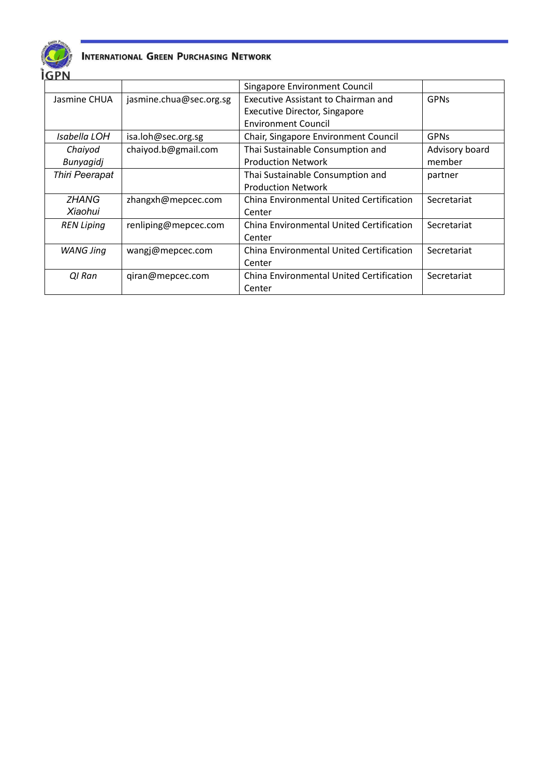

| ושרו              |                         |                                          |                |
|-------------------|-------------------------|------------------------------------------|----------------|
|                   |                         | Singapore Environment Council            |                |
| Jasmine CHUA      | jasmine.chua@sec.org.sg | Executive Assistant to Chairman and      | <b>GPNs</b>    |
|                   |                         | Executive Director, Singapore            |                |
|                   |                         | <b>Environment Council</b>               |                |
| Isabella LOH      | isa.loh@sec.org.sg      | Chair, Singapore Environment Council     | <b>GPNs</b>    |
| Chaiyod           | chaiyod.b@gmail.com     | Thai Sustainable Consumption and         | Advisory board |
| Bunyagidj         |                         | <b>Production Network</b>                | member         |
| Thiri Peerapat    |                         | Thai Sustainable Consumption and         | partner        |
|                   |                         | <b>Production Network</b>                |                |
| <b>ZHANG</b>      | zhangxh@mepcec.com      | China Environmental United Certification | Secretariat    |
| Xiaohui           |                         | Center                                   |                |
| <b>REN Liping</b> | renliping@mepcec.com    | China Environmental United Certification | Secretariat    |
|                   |                         | Center                                   |                |
| <b>WANG Jing</b>  | wangj@mepcec.com        | China Environmental United Certification | Secretariat    |
|                   |                         | Center                                   |                |
| QI Ran            | giran@mepcec.com        | China Environmental United Certification | Secretariat    |
|                   |                         | Center                                   |                |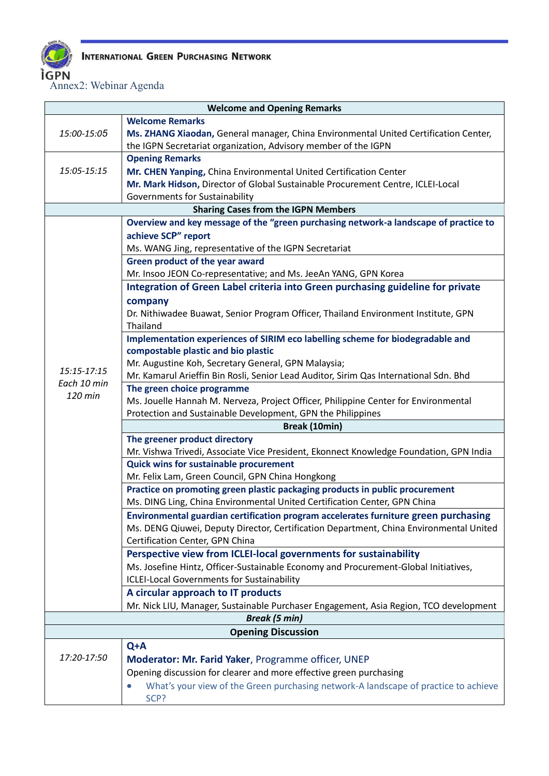

Annex2: Webinar Agenda

| <b>Welcome and Opening Remarks</b>         |                                                                                        |  |  |  |  |
|--------------------------------------------|----------------------------------------------------------------------------------------|--|--|--|--|
|                                            | <b>Welcome Remarks</b>                                                                 |  |  |  |  |
| 15:00-15:05                                | Ms. ZHANG Xiaodan, General manager, China Environmental United Certification Center,   |  |  |  |  |
|                                            | the IGPN Secretariat organization, Advisory member of the IGPN                         |  |  |  |  |
|                                            | <b>Opening Remarks</b>                                                                 |  |  |  |  |
| 15:05-15:15                                | Mr. CHEN Yanping, China Environmental United Certification Center                      |  |  |  |  |
|                                            | Mr. Mark Hidson, Director of Global Sustainable Procurement Centre, ICLEI-Local        |  |  |  |  |
|                                            | Governments for Sustainability                                                         |  |  |  |  |
| <b>Sharing Cases from the IGPN Members</b> |                                                                                        |  |  |  |  |
|                                            | Overview and key message of the "green purchasing network-a landscape of practice to   |  |  |  |  |
|                                            | achieve SCP" report                                                                    |  |  |  |  |
|                                            | Ms. WANG Jing, representative of the IGPN Secretariat                                  |  |  |  |  |
|                                            | Green product of the year award                                                        |  |  |  |  |
|                                            | Mr. Insoo JEON Co-representative; and Ms. JeeAn YANG, GPN Korea                        |  |  |  |  |
|                                            | Integration of Green Label criteria into Green purchasing guideline for private        |  |  |  |  |
|                                            | company                                                                                |  |  |  |  |
|                                            | Dr. Nithiwadee Buawat, Senior Program Officer, Thailand Environment Institute, GPN     |  |  |  |  |
|                                            | Thailand                                                                               |  |  |  |  |
|                                            | Implementation experiences of SIRIM eco labelling scheme for biodegradable and         |  |  |  |  |
|                                            | compostable plastic and bio plastic                                                    |  |  |  |  |
| 15:15-17:15                                | Mr. Augustine Koh, Secretary General, GPN Malaysia;                                    |  |  |  |  |
| Each 10 min                                | Mr. Kamarul Arieffin Bin Rosli, Senior Lead Auditor, Sirim Qas International Sdn. Bhd  |  |  |  |  |
| 120 min                                    | The green choice programme                                                             |  |  |  |  |
|                                            | Ms. Jouelle Hannah M. Nerveza, Project Officer, Philippine Center for Environmental    |  |  |  |  |
|                                            | Protection and Sustainable Development, GPN the Philippines                            |  |  |  |  |
|                                            | Break (10min)<br>The greener product directory                                         |  |  |  |  |
|                                            | Mr. Vishwa Trivedi, Associate Vice President, Ekonnect Knowledge Foundation, GPN India |  |  |  |  |
|                                            | <b>Quick wins for sustainable procurement</b>                                          |  |  |  |  |
|                                            | Mr. Felix Lam, Green Council, GPN China Hongkong                                       |  |  |  |  |
|                                            | Practice on promoting green plastic packaging products in public procurement           |  |  |  |  |
|                                            | Ms. DING Ling, China Environmental United Certification Center, GPN China              |  |  |  |  |
|                                            | Environmental guardian certification program accelerates furniture green purchasing    |  |  |  |  |
|                                            | Ms. DENG Qiuwei, Deputy Director, Certification Department, China Environmental United |  |  |  |  |
|                                            | Certification Center, GPN China                                                        |  |  |  |  |
|                                            | Perspective view from ICLEI-local governments for sustainability                       |  |  |  |  |
|                                            | Ms. Josefine Hintz, Officer-Sustainable Economy and Procurement-Global Initiatives,    |  |  |  |  |
|                                            | <b>ICLEI-Local Governments for Sustainability</b>                                      |  |  |  |  |
|                                            | A circular approach to IT products                                                     |  |  |  |  |
|                                            | Mr. Nick LIU, Manager, Sustainable Purchaser Engagement, Asia Region, TCO development  |  |  |  |  |
| <b>Break (5 min)</b>                       |                                                                                        |  |  |  |  |
| <b>Opening Discussion</b>                  |                                                                                        |  |  |  |  |
|                                            | Q+A                                                                                    |  |  |  |  |
| 17:20-17:50                                | Moderator: Mr. Farid Yaker, Programme officer, UNEP                                    |  |  |  |  |
|                                            | Opening discussion for clearer and more effective green purchasing                     |  |  |  |  |
|                                            | What's your view of the Green purchasing network-A landscape of practice to achieve    |  |  |  |  |
|                                            | SCP?                                                                                   |  |  |  |  |